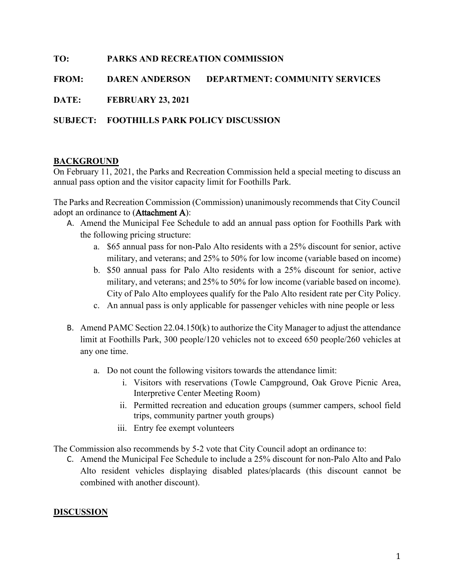# TO: PARKS AND RECREATION COMMISSION

FROM: DAREN ANDERSON DEPARTMENT: COMMUNITY SERVICES

DATE: FEBRUARY 23, 2021

# SUBJECT: FOOTHILLS PARK POLICY DISCUSSION

# BACKGROUND

On February 11, 2021, the Parks and Recreation Commission held a special meeting to discuss an annual pass option and the visitor capacity limit for Foothills Park.

The Parks and Recreation Commission (Commission) unanimously recommends that City Council adopt an ordinance to [\(Attachment A\):](https://www.cityofpaloalto.org/civicax/filebank/blobdload.aspx?BlobID=80281)

- A. Amend the Municipal Fee Schedule to add an annual pass option for Foothills Park with the following pricing structure:
	- a. \$65 annual pass for non-Palo Alto residents with a 25% discount for senior, active military, and veterans; and 25% to 50% for low income (variable based on income)
	- b. \$50 annual pass for Palo Alto residents with a 25% discount for senior, active military, and veterans; and 25% to 50% for low income (variable based on income). City of Palo Alto employees qualify for the Palo Alto resident rate per City Policy.
	- c. An annual pass is only applicable for passenger vehicles with nine people or less
- B. Amend PAMC Section 22.04.150(k) to authorize the City Manager to adjust the attendance limit at Foothills Park, 300 people/120 vehicles not to exceed 650 people/260 vehicles at any one time.
	- a. Do not count the following visitors towards the attendance limit:
		- i. Visitors with reservations (Towle Campground, Oak Grove Picnic Area, Interpretive Center Meeting Room)
		- ii. Permitted recreation and education groups (summer campers, school field trips, community partner youth groups)
		- iii. Entry fee exempt volunteers

The Commission also recommends by 5-2 vote that City Council adopt an ordinance to:

C. Amend the Municipal Fee Schedule to include a 25% discount for non-Palo Alto and Palo Alto resident vehicles displaying disabled plates/placards (this discount cannot be combined with another discount).

# **DISCUSSION**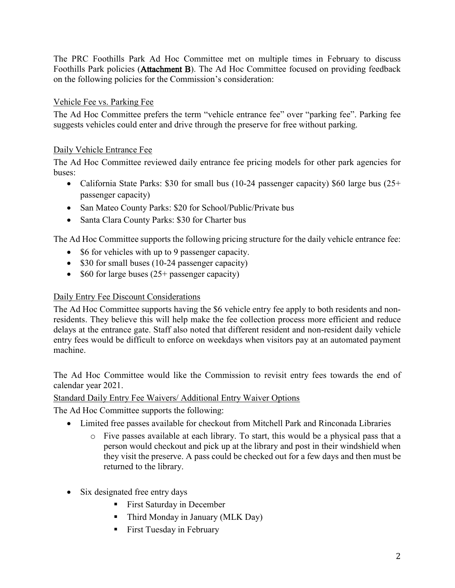The PRC Foothills Park Ad Hoc Committee met on multiple times in February to discuss Foothills Par[k policies \(Attach](https://www.cityofpaloalto.org/civicax/filebank/blobdload.aspx?BlobID=80279)ment B). The Ad Hoc Committee focused on providing feedback on the following policies for the Commission's consideration:

# Vehicle Fee vs. Parking Fee

The Ad Hoc Committee prefers the term "vehicle entrance fee" over "parking fee". Parking fee suggests vehicles could enter and drive through the preserve for free without parking.

# Daily Vehicle Entrance Fee

The Ad Hoc Committee reviewed daily entrance fee pricing models for other park agencies for buses:

- California State Parks: \$30 for small bus (10-24 passenger capacity) \$60 large bus (25+ passenger capacity)
- San Mateo County Parks: \$20 for School/Public/Private bus
- Santa Clara County Parks: \$30 for Charter bus

The Ad Hoc Committee supports the following pricing structure for the daily vehicle entrance fee:

- \$6 for vehicles with up to 9 passenger capacity.
- $\bullet$  \$30 for small buses (10-24 passenger capacity)
- \$60 for large buses  $(25+)$  passenger capacity)

# Daily Entry Fee Discount Considerations

The Ad Hoc Committee supports having the \$6 vehicle entry fee apply to both residents and nonresidents. They believe this will help make the fee collection process more efficient and reduce delays at the entrance gate. Staff also noted that different resident and non-resident daily vehicle entry fees would be difficult to enforce on weekdays when visitors pay at an automated payment machine.

The Ad Hoc Committee would like the Commission to revisit entry fees towards the end of calendar year 2021.

# Standard Daily Entry Fee Waivers/ Additional Entry Waiver Options

The Ad Hoc Committee supports the following:

- Limited free passes available for checkout from Mitchell Park and Rinconada Libraries
	- o Five passes available at each library. To start, this would be a physical pass that a person would checkout and pick up at the library and post in their windshield when they visit the preserve. A pass could be checked out for a few days and then must be returned to the library.
- Six designated free entry days
	- **First Saturday in December**
	- Third Monday in January (MLK Day)
	- **First Tuesday in February**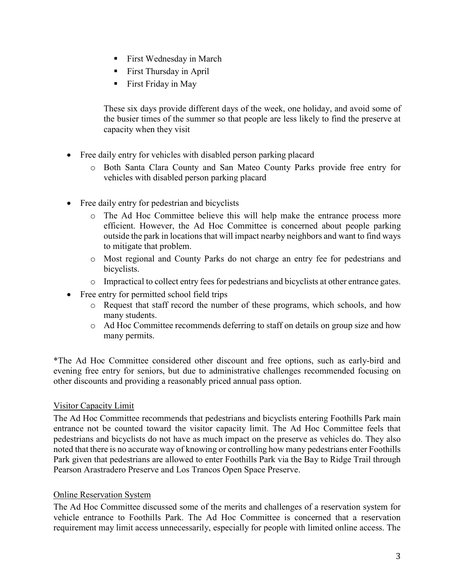- **First Wednesday in March**
- **First Thursday in April**
- First Friday in May

These six days provide different days of the week, one holiday, and avoid some of the busier times of the summer so that people are less likely to find the preserve at capacity when they visit

- Free daily entry for vehicles with disabled person parking placard
	- o Both Santa Clara County and San Mateo County Parks provide free entry for vehicles with disabled person parking placard
- Free daily entry for pedestrian and bicyclists
	- o The Ad Hoc Committee believe this will help make the entrance process more efficient. However, the Ad Hoc Committee is concerned about people parking outside the park in locations that will impact nearby neighbors and want to find ways to mitigate that problem.
	- o Most regional and County Parks do not charge an entry fee for pedestrians and bicyclists.
	- o Impractical to collect entry fees for pedestrians and bicyclists at other entrance gates.
- Free entry for permitted school field trips
	- o Request that staff record the number of these programs, which schools, and how many students.
	- o Ad Hoc Committee recommends deferring to staff on details on group size and how many permits.

\*The Ad Hoc Committee considered other discount and free options, such as early-bird and evening free entry for seniors, but due to administrative challenges recommended focusing on other discounts and providing a reasonably priced annual pass option.

# Visitor Capacity Limit

The Ad Hoc Committee recommends that pedestrians and bicyclists entering Foothills Park main entrance not be counted toward the visitor capacity limit. The Ad Hoc Committee feels that pedestrians and bicyclists do not have as much impact on the preserve as vehicles do. They also noted that there is no accurate way of knowing or controlling how many pedestrians enter Foothills Park given that pedestrians are allowed to enter Foothills Park via the Bay to Ridge Trail through Pearson Arastradero Preserve and Los Trancos Open Space Preserve.

#### Online Reservation System

The Ad Hoc Committee discussed some of the merits and challenges of a reservation system for vehicle entrance to Foothills Park. The Ad Hoc Committee is concerned that a reservation requirement may limit access unnecessarily, especially for people with limited online access. The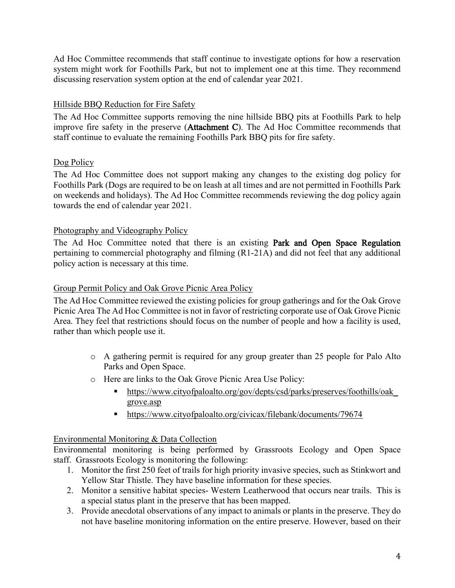Ad Hoc Committee recommends that staff continue to investigate options for how a reservation system might work for Foothills Park, but not to implement one at this time. They recommend discussing reservation system option at the end of calendar year 2021.

# Hillside BBQ Reduction for Fire Safety

The Ad Hoc Committee supports removing the nine hillside BBQ pits at Foothills Park to help improve fire safety in the preser[ve \(Attachment](https://www.cityofpaloalto.org/civicax/filebank/blobdload.aspx?BlobID=80280) C). The Ad Hoc Committee recommends that staff continue to evaluate the remaining Foothills Park BBQ pits for fire safety.

# Dog Policy

The Ad Hoc Committee does not support making any changes to the existing dog policy for Foothills Park (Dogs are required to be on leash at all times and are not permitted in Foothills Park on weekends and holidays). The Ad Hoc Committee recommends reviewing the dog policy again towards the end of calendar year 2021.

# Photography and Videography Policy

The Ad Hoc Committee noted that there is an e[xisting Park and Open Space R](https://www.cityofpaloalto.org/civicax/filebank/blobdload.aspx?BlobID=80282)egulation pertaining to commercial photography and filming (R1-21A) and did not feel that any additional policy action is necessary at this time.

# Group Permit Policy and Oak Grove Picnic Area Policy

The Ad Hoc Committee reviewed the existing policies for group gatherings and for the Oak Grove Picnic Area The Ad Hoc Committee is not in favor of restricting corporate use of Oak Grove Picnic Area. They feel that restrictions should focus on the number of people and how a facility is used, rather than which people use it.

- o A gathering permit is required for any group greater than 25 people for Palo Alto Parks and Open Space.
- o Here are links to the Oak Grove Picnic Area Use Policy:
	- https://www.cityofpaloalto.org/gov/depts/csd/parks/preserves/foothills/oak grove.asp
	- https://www.cityofpaloalto.org/civicax/filebank/documents/79674

# Environmental Monitoring & Data Collection

Environmental monitoring is being performed by Grassroots Ecology and Open Space staff. Grassroots Ecology is monitoring the following:

- 1. Monitor the first 250 feet of trails for high priority invasive species, such as Stinkwort and Yellow Star Thistle. They have baseline information for these species.
- 2. Monitor a sensitive habitat species- Western Leatherwood that occurs near trails. This is a special status plant in the preserve that has been mapped.
- 3. Provide anecdotal observations of any impact to animals or plants in the preserve. They do not have baseline monitoring information on the entire preserve. However, based on their